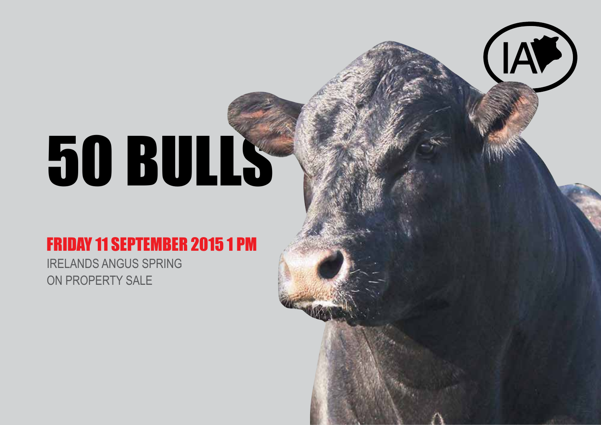# 50 BULLS

#### Friday 11 SEPTEMBER 2015 1 PM

Irelands Angus SPRING On Property Sale

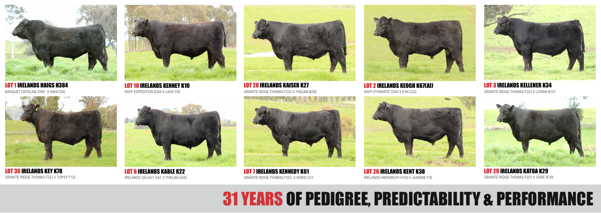LOT 28 IRELANDS KAISER K27 LOT 2 IRELANDS KEOGH K67(AI)



LOT 1 IRELANDS HAIGS H384 BANQUET DATELINE D597 X NIKKI D55



LOT 30 IRELANDS KEY K78 GRANITE RIDGE THOMAS F223 X TOPSY F122



LOT 10 IRELANDS KENNEY K10 RAFF EXPEDITION E264 X LASS Y28



LOT 6 IRELANDS KABLE K22 IRELANDS GALAXY G43 X THELMA A242



GRANITE RIDGE THOMAS F223 X THELMA B228 RAFF DYNAMITE D345 X EVA C232



LOT 26 IRELANDS KENT K38 IRELANDS HIERARCHY H152 X JASMINE F30





LOT 3 IRELANDS KELLEHER K34 GRANITE RIDGE THOMAS F223 X LOWAN B107



LOT 29 IRELANDS KATOA K29 GRANITE RIDGE THOMAS F223 X JOSIE B128

## 31 YEARS OF PEDIGREE, PREDICTABILITY & PERFORMANCE

LOT 7 IRELANDS KENNEDY K61 GRANITE RIDGE THOMAS F223 X DORIS G13